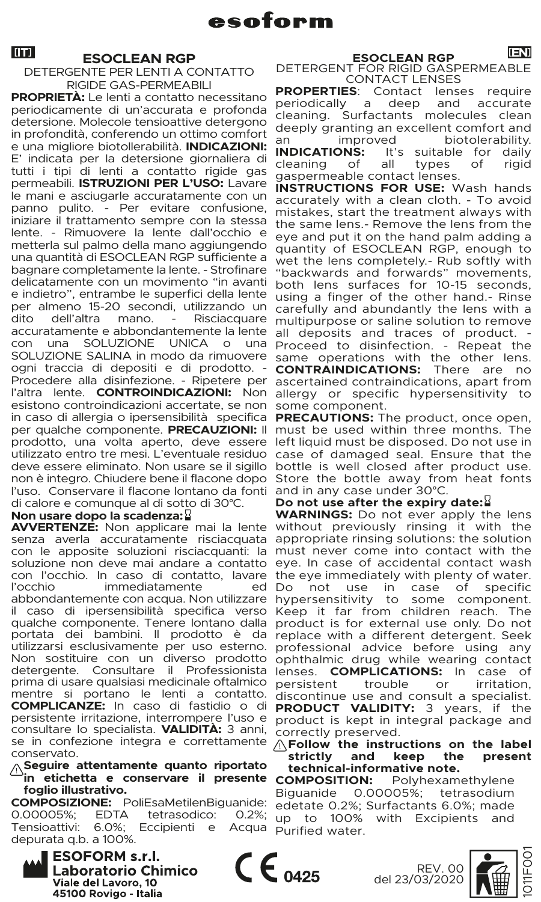# **ESOCLEAN RGP**<br>DETERGENTE PER LENTI A CONTATTO

RIGIDE GAS-PERMEABILI

con una SOLUZIONE UNICA o una Proceed to disinfection. - Repeat the<br>SOLUZIONE SALINA in modo da rimuovere same operations with the other lens. ogni traccia di depositi e di prodotto. - **CONTRAINDICATIONS:** There are no Procedere alla disinfezione. - Ripetere per ascertained contraindications, apart from l'altra lente. CONTROINDICAZIONI: Non allergy or specific hypersensitivity to esistono controindicazioni accertate, se non some component. in caso di allergia o ipersensibilità specifica PRECAUTIONS: The product, once open, per qualche componente. PRECAUZIONI: Il must be used within three months. The prodotto, una volta aperto, deve essere left liquid must be disposed. Do not use in utilizzato entro tre mesi. L'eventuale residuo case of damaged seal. Ensure that the deve essere eliminato. Non usare se il sigillo bottle is well closed after product use. non è integro. Chiudere bene il flacone dopo Store the bottle away from heat fonts l'uso. Conservare il flacone lontano da fonti and in any case under 30°C. **PROPRIETÀ:** Le lenti a contatto necessitano periodicamente di un'accurata e profonda detersione. Molecole tensioattive detergono in profondità, conferendo un ottimo comfort e una migliore biotollerabilità. **INDICAZIONI:**  E' indicata per la detersione giornaliera di tutti i tipi di lenti a contatto rigide gas permeabili. **ISTRUZIONI PER L'USO:** Lavare le mani e asciugarle accuratamente con un panno pulito. - Per evitare confusione, iniziare il trattamento sempre con la stessa lente. - Rimuovere la lente dall'occhio e metterla sul palmo della mano aggiungendo una quantità di ESOCLEAN RGP sufficiente a bagnare completamente la lente. - Strofinare delicatamente con un movimento "in avanti e indietro", entrambe le superfici della lente per almeno 15-20 secondi, utilizzando un<br>dito dell'altra mano - Risciacquare dell'altra mano. accuratamente e abbondantemente la lente<br>con una SOLUZIONE UNICA o una di calore e comunque al di sotto di 30°C.

# **Non usare dopo la scadenza:**

senza averla accuratamente risciacquata appropriate rinsing solutions: the solution con le apposite soluzioni risciacquanti: la must never come into contact with the soluzione non deve mai andare a contatto eye. In case of accidental contact wash con l'occhio. In caso di contatto, lavare the eye immediately with plenty of water. l'occhio immediatamente ed Do not use in case of specific<br>abbondantemente con acqua. Non utilizzare hypersensitivity to some component. il caso di ipersensibilità specifica verso Keep it far from children reach. The qualche componente. Tenere lontano dalla product is for external use only. Do not portata dei bambini. Il prodotto è da replace with a different detergent. Seek utilizzarsi esclusivamente per uso esterno. professional advice before using any Non sostituire con un diverso prodotto ophthalmic drug while wearing contact detergente. Consultare il Professionista lenses. **COMPLICATIONS:** In case of prima di usare qualsiasi medicinale oftalmico persistent trouble or irritation,<br>mentre si portano le lenti a contatto, discontinue use and consult a specialist. **PRODUCT VALIDITY:** 3 years, if the **COMPLICANZE:** In caso di fastidio o di persistente irritazione, interrompere l'uso e product is kept in integral package and consultare lo specialista. VALIDITA: 3 anni, correctly preserved. se in confezione integra e correttamente **AFollow the instructions on the label** prima di usare qualsiasi medicinale oftalmico persistent conservato.

**Seguire attentamente quanto riportato in etichetta e conservare il presente foglio illustrativo.**

**COMPOSIZIONE:** PoliEsaMetilenBiguanide: 0.00005%; EDTA tetrasodico:<br>Tensioattivi: 6.0%; Eccipienti e Eccipienti e depurata q.b. a 100%.



ESOCLEAN RGP<br>DETERGENT FOR RIGID GASPERMEABLE<br>CONTACT LENSES

**PROPERTIES:** Contact lenses require<br>periodically a deep and accurate a deep and accurate cleaning. Surfactants molecules clean deeply granting an excellent comfort and<br>an improved biotolerability. an improved biotolerability.<br>**INDICATIONS:** It's suitable for daily **NS:** It's suitable for daily<br>of all types of rigid cleaning gaspermeable contact lenses.

**INSTRUCTIONS FOR USE:** Wash hands accurately with a clean cloth. - To avoid mistakes, start the treatment always with the same lens.- Remove the lens from the eye and put it on the hand palm adding a quantity of ESOCLEAN RGP, enough to wet the lens completely.- Rub softly with "backwards and forwards" movements, both lens surfaces for 10-15 seconds, using a finger of the other hand.- Rinse carefully and abundantly the lens with a multipurpose or saline solution to remove all deposits and traces of product. - Proceed to disinfection. - Repeat the

# **Do not use after the expiry date:**

**WARNINGS:** Do not ever apply the lens AVVERTENZE: Non applicare mai la lente without previously rinsing it with the

**strictly and keep the present technical-informative note.**

**COMPOSITION:** Polyhexamethylene<br>Biguanide 0.00005%: tetrasodium Biguanide 0.00005%; tetrasodium edetate 0.2%; Surfactants 6.0%; made up to 100% with Excipients and Acqua Purified water.



 $C \epsilon_{0425}$